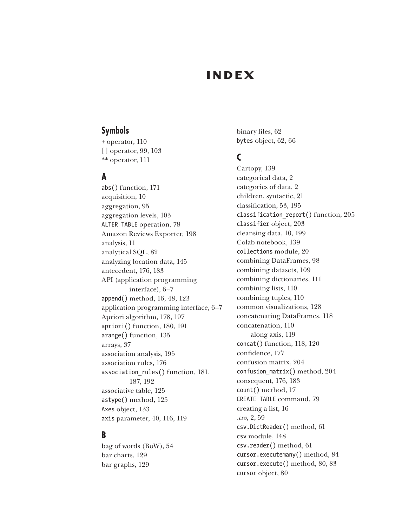# **INDEX**

#### **Symbols**

+ operator, 110 [] operator, 99, 103 \*\* operator, 111

#### **A**

abs() function, 171 acquisition, 10 aggregation, 95 aggregation levels, 103 ALTER TABLE operation, 78 Amazon Reviews Exporter, 198 analysis, 11 analytical SQL, 82 analyzing location data, 145 antecedent, 176, 183 API (application programming interface), 6–7 append() method, 16, 48, 123 application programming interface, 6–7 Apriori algorithm, 178, 197 apriori() function, 180, 191 arange() function, 135 arrays, 37 association analysis, 195 association rules, 176 association rules() function, 181, 187, 192 associative table, 125 astype() method, 125 Axes object, 133 axis parameter, 40, 116, 119

### **B**

bag of words (BoW), 54 bar charts, 129 bar graphs, 129

binary files, 62 bytes object, 62, 66

### **C**

Cartopy, 139 categorical data, 2 categories of data, 2 children, syntactic, 21 classification, 53, 195 classification report() function, 205 classifier object, 203 cleansing data, 10, 199 Colab notebook, 139 collections module, 20 combining DataFrames, 98 combining datasets, 109 combining dictionaries, 111 combining lists, 110 combining tuples, 110 common visualizations, 128 concatenating DataFrames, 118 concatenation, 110 along axis, 119 concat() function, 118, 120 confidence, 177 confusion matrix, 204 confusion\_matrix() method, 204 consequent, 176, 183 count() method, 17 CREATE TABLE command, 79 creating a list, 16 *.csv*, 2, 59 csv.DictReader() method, 61 csv module, 148 csv.reader() method, 61 cursor.executemany() method, 84 cursor.execute() method, 80, 83 cursor object, 80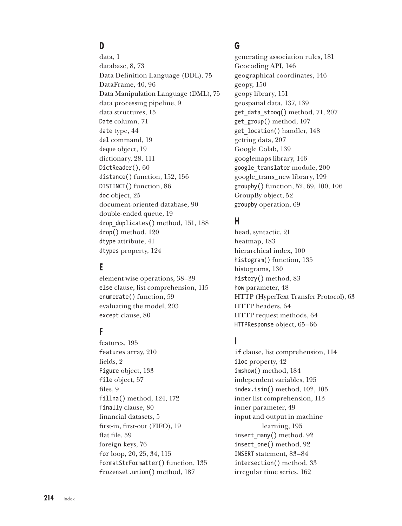# **D**

data, 1 database, 8, 73 Data Definition Language (DDL), 75 DataFrame, 40, 96 Data Manipulation Language (DML), 75 data processing pipeline, 9 data structures, 15 Date column, 71 date type, 44 del command, 19 deque object, 19 dictionary, 28, 111 DictReader(), 60 distance() function, 152, 156 DISTINCT() function, 86 doc object, 25 document-oriented database, 90 double-ended queue, 19 drop\_duplicates() method, 151, 188 drop() method, 120 dtype attribute, 41 dtypes property, 124

### **E**

element-wise operations, 38–39 else clause, list comprehension, 115 enumerate() function, 59 evaluating the model, 203 except clause, 80

#### **F**

features, 195 features array, 210 fields, 2 Figure object, 133 file object, 57 files, 9 fillna() method, 124, 172 finally clause, 80 financial datasets, 5 first-in, first-out (FIFO), 19 flat file, 59 foreign keys, 76 for loop, 20, 25, 34, 115 FormatStrFormatter() function, 135 frozenset.union() method, 187

### **G**

generating association rules, 181 Geocoding API, 146 geographical coordinates, 146 geopy, 150 geopy library, 151 geospatial data, 137, 139 get\_data\_stooq() method, 71, 207 get\_group() method, 107 get\_location() handler, 148 getting data, 207 Google Colab, 139 googlemaps library, 146 google\_translator module, 200 google\_trans\_new library, 199 groupby() function, 52, 69, 100, 106 GroupBy object, 52 groupby operation, 69

### **H**

head, syntactic, 21 heatmap, 183 hierarchical index, 100 histogram() function, 135 histograms, 130 history() method, 83 how parameter, 48 HTTP (HyperText Transfer Protocol), 63 HTTP headers, 64 HTTP request methods, 64 HTTPResponse object, 65–66

### **I**

if clause, list comprehension, 114 iloc property, 42 imshow() method, 184 independent variables, 195 index.isin() method, 102, 105 inner list comprehension, 113 inner parameter, 49 input and output in machine learning, 195 insert many() method, 92 insert one() method, 92 INSERT statement, 83–84 intersection() method, 33 irregular time series, 162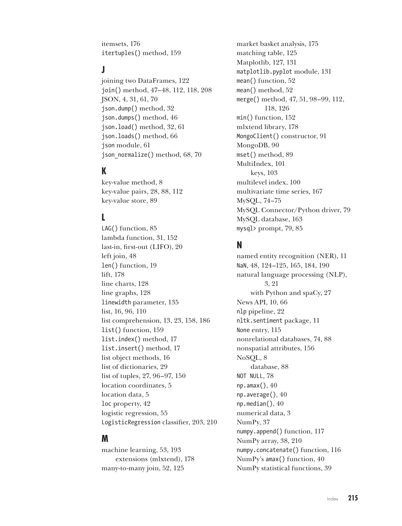itemsets, 176 itertuples() method, 159

# **J**

joining two DataFrames, 122 join() method, 47–48, 112, 118, 208 JSON, 4, 31, 61, 70 json.dump() method, 32 json.dumps() method, 46 json.load() method, 32, 61 json.loads() method, 66 json module, 61 json\_normalize() method, 68, 70

# **K**

key-value method, 8 key-value pairs, 28, 88, 112 key-value store, 89

# **L**

LAG() function, 85 lambda function, 31, 152 last-in, first-out (LIFO), 20 left join, 48 len() function, 19 lift, 178 line charts, 128 line graphs, 128 linewidth parameter, 135 list, 16, 96, 110 list comprehension, 13, 23, 158, 186 list() function, 159 list.index() method, 17 list.insert() method, 17 list object methods, 16 list of dictionaries, 29 list of tuples, 27, 96–97, 150 location coordinates, 5 location data, 5 loc property, 42 logistic regression, 55 LogisticRegression classifier, 203, 210

#### **M**

machine learning, 53, 193 extensions (mlxtend), 178 many-to-many join, 52, 125

market basket analysis, 175 matching table, 125 Matplotlib, 127, 131 matplotlib.pyplot module, 131 mean() function, 52 mean() method, 52 merge() method, 47, 51, 98–99, 112, 118, 126 min() function, 152 mlxtend library, 178 MongoClient() constructor, 91 MongoDB, 90 mset() method, 89 MultiIndex, 101 keys, 103 multilevel index, 100 multivariate time series, 167 MySQL, 74–75 MySQL Connector/Python driver, 79 MySQL database, 163 mysql> prompt, 79, 85

### **N**

named entity recognition (NER), 11 NaN, 48, 124–125, 165, 184, 190 natural language processing (NLP), 3, 21 with Python and spaCy, 27 News API, 10, 66 nlp pipeline, 22 nltk.sentiment package, 11 None entry, 115 nonrelational databases, 74, 88 nonspatial attributes, 156 NoSQL, 8 database, 88 NOT NULL, 78 np.amax(), 40 np.average(), 40 np.median(), 40 numerical data, 3 NumPy, 37 numpy.append() function, 117 NumPy array, 38, 210 numpy.concatenate() function, 116 NumPy's amax() function, 40 NumPy statistical functions, 39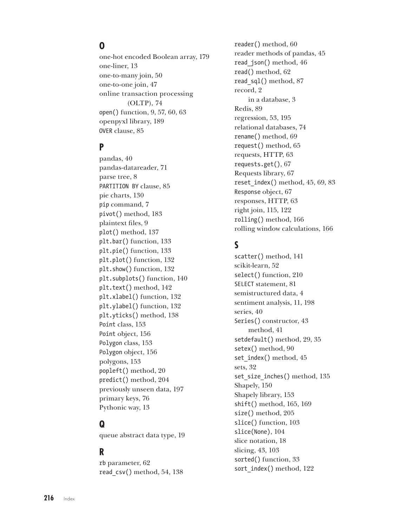# **O**

one-hot encoded Boolean array, 179 one-liner, 13 one-to-many join, 50 one-to-one join, 47 online transaction processing (OLTP), 74 open() function, 9, 57, 60, 63 openpyxl library, 189 OVER clause, 85

### **P**

pandas, 40 pandas-datareader, 71 parse tree, 8 PARTITION BY clause, 85 pie charts, 130 pip command, 7 pivot() method, 183 plaintext files, 9 plot() method, 137 plt.bar() function, 133 plt.pie() function, 133 plt.plot() function, 132 plt.show() function, 132 plt.subplots() function, 140 plt.text() method, 142 plt.xlabel() function, 132 plt.ylabel() function, 132 plt.yticks() method, 138 Point class, 153 Point object, 156 Polygon class, 153 Polygon object, 156 polygons, 153 popleft() method, 20 predict() method, 204 previously unseen data, 197 primary keys, 76 Pythonic way, 13

# **Q**

queue abstract data type, 19

### **R**

rb parameter, 62 read\_csv() method, 54, 138

reader() method, 60 reader methods of pandas, 45 read\_json() method, 46 read() method, 62 read\_sql() method, 87 record, 2 in a database, 3 Redis, 89 regression, 53, 195 relational databases, 74 rename() method, 69 request() method, 65 requests, HTTP, 63 requests.get(), 67 Requests library, 67 reset  $index() method, 45, 69, 83$ Response object, 67 responses, HTTP, 63 right join, 115, 122 rolling() method, 166 rolling window calculations, 166

# **S**

scatter() method, 141 scikit-learn, 52 select() function, 210 SELECT statement, 81 semistructured data, 4 sentiment analysis, 11, 198 series, 40 Series() constructor, 43 method, 41 setdefault() method, 29, 35 setex() method, 90 set index() method, 45 sets, 32 set size inches() method, 135 Shapely, 150 Shapely library, 153 shift() method, 165, 169 size() method, 205 slice() function, 103 slice(None), 104 slice notation, 18 slicing, 43, 103 sorted() function, 33 sort index() method, 122